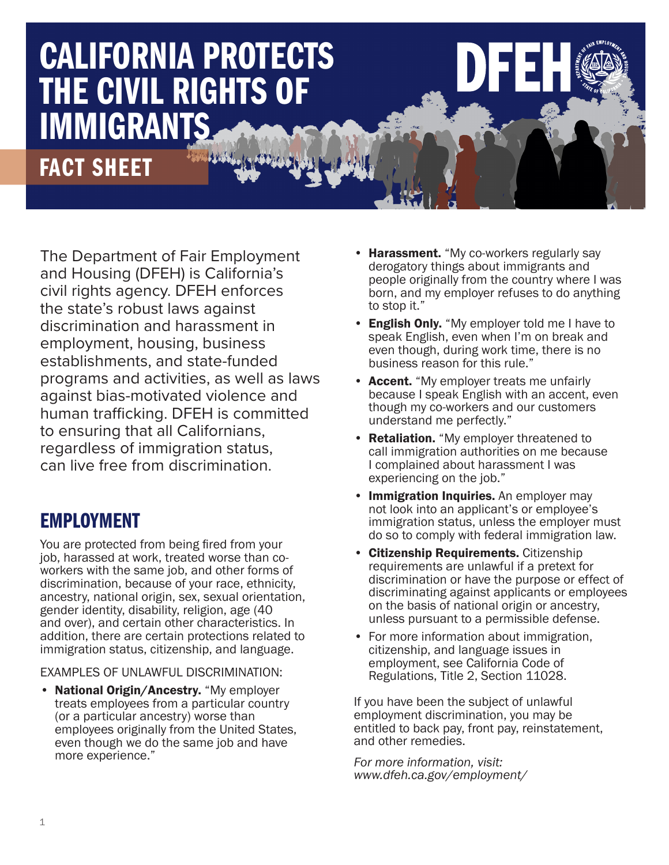# CALIFORNIA PROTECTS THE CIVIL RIGHTS OF **IMMIGRANTS**

# FACT SHEET

The Department of Fair Employment and Housing (DFEH) is California's civil rights agency. DFEH enforces the state's robust laws against discrimination and harassment in employment, housing, business establishments, and state-funded programs and activities, as well as laws against bias-motivated violence and human trafficking. DFEH is committed to ensuring that all Californians, regardless of immigration status, can live free from discrimination.

## EMPLOYMENT

You are protected from being fired from your job, harassed at work, treated worse than coworkers with the same job, and other forms of discrimination, because of your race, ethnicity, ancestry, national origin, sex, sexual orientation, gender identity, disability, religion, age (40 and over), and certain other characteristics. In addition, there are certain protections related to immigration status, citizenship, and language.

EXAMPLES OF UNLAWFUL DISCRIMINATION:

• National Origin/Ancestry. "My employer treats employees from a particular country (or a particular ancestry) worse than employees originally from the United States, even though we do the same job and have more experience."

• Harassment. "My co-workers regularly say derogatory things about immigrants and people originally from the country where I was born, and my employer refuses to do anything to stop it."

HUMAN TRAFFICKING.

 $\mathbf{D}$  department of  $\mathbf{A}$  and  $\mathbf{A}$  and  $\mathbf{A}$  and  $\mathbf{A}$  and  $\mathbf{A}$ THE MISSION OF THE MISSION OF THE DEPARTMENT OF THE DEPARTMENT OF THE DEPARTMENT OF THE DEPARTMENT OF THE DEPARTMENT OF THE DEPARTMENT OF THE DEPARTMENT OF THE DEPARTMENT OF THE DEPARTMENT OF THE DEPARTMENT OF THE DEPARTME  $\blacksquare$ FROM UNLAWFUL DISCRIMINATION IN EMPLOYMENT, HOUSING AND PUBLIC ACCOMMODATIONS, AND FROM THE PERPETRATION OF ACTS OF HATE VIOLENCE AND

- English Only. "My employer told me I have to speak English, even when I'm on break and even though, during work time, there is no business reason for this rule."
- Accent. "My employer treats me unfairly because I speak English with an accent, even though my co-workers and our customers understand me perfectly."
- **Retaliation.** "My employer threatened to call immigration authorities on me because I complained about harassment I was experiencing on the job."
- Immigration Inquiries. An employer may not look into an applicant's or employee's immigration status, unless the employer must do so to comply with federal immigration law.
- Citizenship Requirements. Citizenship requirements are unlawful if a pretext for discrimination or have the purpose or effect of discriminating against applicants or employees on the basis of national origin or ancestry, unless pursuant to a permissible defense.
- For more information about immigration, citizenship, and language issues in employment, see California Code of Regulations, Title 2, Section 11028.

If you have been the subject of unlawful employment discrimination, you may be entitled to back pay, front pay, reinstatement, and other remedies.

*[For more information, visit: www.dfeh.ca.gov/employment/](www.dfeh.ca.gov/employment/)*